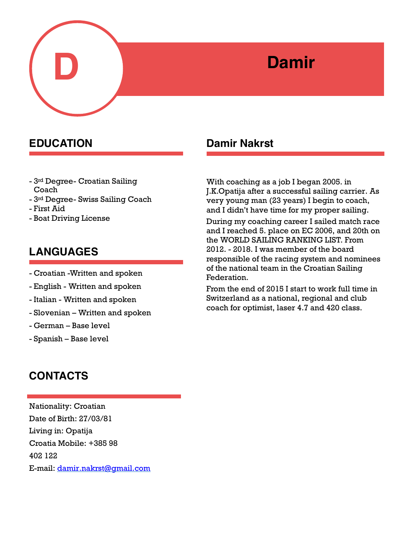

- 3rd Degree- Croatian Sailing Coach
- 3rd Degree- Swiss Sailing Coach
- First Aid
- Boat Driving License

# **LANGUAGES**

- Croatian -Written and spoken
- English Written and spoken
- Italian Written and spoken
- Slovenian Written and spoken
- German Base level
- Spanish Base level

# **CONTACTS**

Nationality: Croatian Date of Birth: 27/03/81 Living in: Opatija Croatia Mobile: +385 98 402 122 E-mail: [damir.nakrst@gmail.com](mailto:damir.nakrst@gmail.com)

## **EDUCATION** Damir Nakrst

With coaching as a job I began 2005. in J.K.Opatija after a successful sailing carrier. As very young man (23 years) I begin to coach, and I didn't have time for my proper sailing. During my coaching career I sailed match race and I reached 5. place on EC 2006, and 20th on the WORLD SAILING RANKING LIST. From 2012. - 2018. I was member of the board responsible of the racing system and nominees of the national team in the Croatian Sailing Federation.

From the end of 2015 I start to work full time in Switzerland as a national, regional and club coach for optimist, laser 4.7 and 420 class.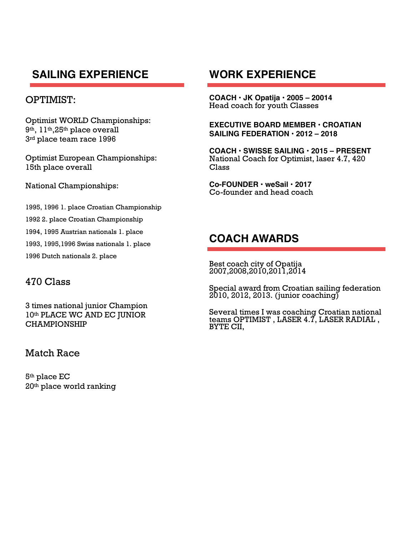# **SAILING EXPERIENCE**

### OPTIMIST:

Optimist WORLD Championships: 9th, 11th,25th place overall 3rd place team race 1996

Optimist European Championships: 15th place overall

National Championships:

1995, 1996 1. place Croatian Championship 1992 2. place Croatian Championship 1994, 1995 Austrian nationals 1. place 1993, 1995,1996 Swiss nationals 1. place 1996 Dutch nationals 2. place

### 470 Class

3 times national junior Champion 10th PLACE WC AND EC JUNIOR CHAMPIONSHIP

### Match Race

5th place EC 20th place world ranking

## **WORK EXPERIENCE**

**COACH • JK Opatija • 2005 – 20014**  Head coach for youth Classes

**EXECUTIVE BOARD MEMBER • CROATIAN SAILING FEDERATION • 2012 – 2018** 

**COACH • SWISSE SAILING • 2015 – PRESENT**  National Coach for Optimist, laser 4.7, 420 Class

**Co-FOUNDER • weSail • 2017**  Co-founder and head coach

## **COACH AWARDS**

Best coach city of Opatija 2007,2008,2010,2011,2014

Special award from Croatian sailing federation 2010, 2012, 2013. (junior coaching)

Several times I was coaching Croatian national teams OPTIMIST , LASER 4.7, LASER RADIAL , BYTE CII,